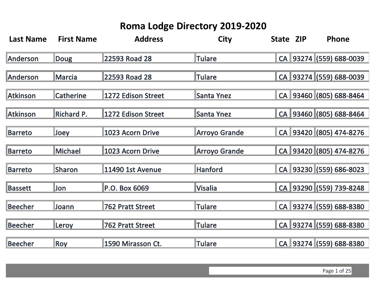| <b>Last Name</b> | <b>First Name</b> | <b>Address</b>          | <b>City</b>          | State ZIP | Phone                   |
|------------------|-------------------|-------------------------|----------------------|-----------|-------------------------|
| Anderson         | <b>Doug</b>       | 22593 Road 28           | <b>Tulare</b>        |           | CA 93274 (559) 688-0039 |
| Anderson         | <b>Marcia</b>     | 22593 Road 28           | <b>Tulare</b>        |           | CA 93274 (559) 688-0039 |
| <b>Atkinson</b>  | <b>Catherine</b>  | 1272 Edison Street      | <b>Santa Ynez</b>    |           | CA 93460 (805) 688-8464 |
| <b>Atkinson</b>  | <b>Richard P.</b> | 1272 Edison Street      | <b>Santa Ynez</b>    |           | CA 93460 (805) 688-8464 |
| Barreto          | <b>Joey</b>       | 1023 Acorn Drive        | <b>Arroyo Grande</b> |           | CA 93420 (805) 474-8276 |
| <b>Barreto</b>   | Michael           | 1023 Acorn Drive        | <b>Arroyo Grande</b> |           | CA 93420 (805) 474-8276 |
| Barreto          | <b>Sharon</b>     | 11490 1st Avenue        | <b>Hanford</b>       |           | CA 93230 (559) 686-8023 |
| <b>Bassett</b>   | <b>Jon</b>        | P.O. Box 6069           | <b>Visalia</b>       |           | CA 93290 (559) 739-8248 |
| <b>Beecher</b>   | <b>Joann</b>      | <b>762 Pratt Street</b> | <b>Tulare</b>        |           | CA 93274 (559) 688-8380 |
| <b>Beecher</b>   | Leroy             | 762 Pratt Street        | <b>Tulare</b>        |           | CA 93274 (559) 688-8380 |
| <b>Beecher</b>   | <b>Roy</b>        | 1590 Mirasson Ct.       | <b>Tulare</b>        |           | CA 93274 (559) 688-8380 |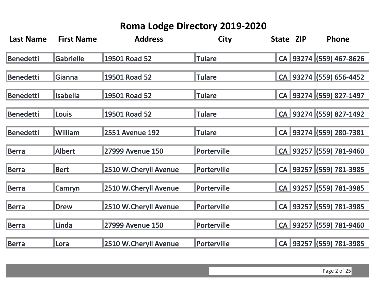| <b>Last Name</b> | <b>First Name</b> | <b>Address</b>          | <b>City</b>   | State ZIP | Phone                   |
|------------------|-------------------|-------------------------|---------------|-----------|-------------------------|
| <b>Benedetti</b> | <b>Gabrielle</b>  | 19501 Road 52           | <b>Tulare</b> |           | CA 93274 (559) 467-8626 |
| <b>Benedetti</b> | Gianna            | 19501 Road 52           | Tulare        |           | CA 93274 (559) 656-4452 |
| <b>Benedetti</b> | <b>Isabella</b>   | 19501 Road 52           | <b>Tulare</b> |           | CA 93274 (559) 827-1497 |
| <b>Benedetti</b> | <b>Louis</b>      | 19501 Road 52           | <b>Tulare</b> |           | CA 93274 (559) 827-1492 |
| Benedetti        | William           | <b>2551 Avenue 192</b>  | <b>Tulare</b> |           | CA 93274 (559) 280-7381 |
| <b>Berra</b>     | <b>Albert</b>     | <b>27999 Avenue 150</b> | Porterville   |           | CA 93257 (559) 781-9460 |
| Berra            | <b>Bert</b>       | 2510 W.Cheryll Avenue   | Porterville   |           | CA 93257 (559) 781-3985 |
| Berra            | Camryn            | 2510 W.Cheryll Avenue   | Porterville   |           | CA 93257 (559) 781-3985 |
| Berra            | <b>Drew</b>       | 2510 W.Cheryll Avenue   | Porterville   |           | CA 93257 (559) 781-3985 |
| <b>Berra</b>     | Linda             | <b>27999 Avenue 150</b> | Porterville   |           | CA 93257 (559) 781-9460 |
| <b>Berra</b>     | Lora              | 2510 W.Cheryll Avenue   | Porterville   |           | CA 93257 (559) 781-3985 |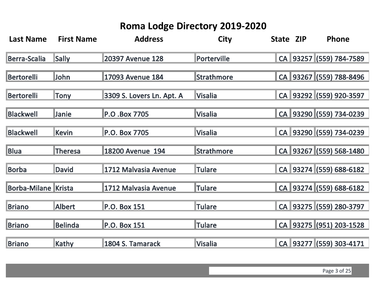| <b>Last Name</b>           | <b>First Name</b> | <b>Address</b>            | <b>City</b>       | State ZIP | Phone                   |
|----------------------------|-------------------|---------------------------|-------------------|-----------|-------------------------|
| Berra-Scalia               | Sally             | 20397 Avenue 128          | Porterville       |           | CA 93257 (559) 784-7589 |
| Bertorelli                 | John              | 17093 Avenue 184          | <b>Strathmore</b> |           | CA 93267 (559) 788-8496 |
| Bertorelli                 | Tony              | 3309 S. Lovers Ln. Apt. A | <b>Visalia</b>    |           | CA 93292 (559) 920-3597 |
| <b>Blackwell</b>           | Janie             | P.O.Box 7705              | <b>Visalia</b>    |           | CA 93290 (559) 734-0239 |
| <b>Blackwell</b>           | Kevin             | P.O. Box 7705             | <b>Visalia</b>    |           | CA 93290 (559) 734-0239 |
| <b>Blua</b>                | <b>Theresa</b>    | 18200 Avenue 194          | <b>Strathmore</b> |           | CA 93267 (559) 568-1480 |
| <b>Borba</b>               | <b>David</b>      | 1712 Malvasia Avenue      | <b>Tulare</b>     |           | CA 93274 (559) 688-6182 |
| <b>Borba-Milane Krista</b> |                   | 1712 Malvasia Avenue      | <b>Tulare</b>     |           | CA 93274 (559) 688-6182 |
| <b>Briano</b>              | <b>Albert</b>     | <b>P.O. Box 151</b>       | <b>Tulare</b>     |           | CA 93275 (559) 280-3797 |
| <b>Briano</b>              | <b>Belinda</b>    | <b>P.O. Box 151</b>       | <b>Tulare</b>     |           | CA 93275 (951) 203-1528 |
| <b>Briano</b>              | Kathy             | 1804 S. Tamarack          | <b>Visalia</b>    |           | CA 93277 (559) 303-4171 |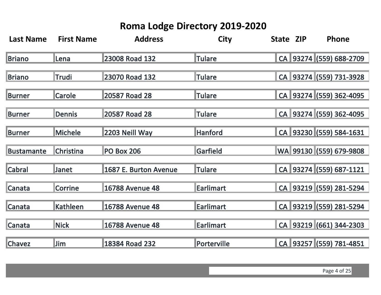| <b>Last Name</b>  | <b>First Name</b> | <b>Address</b>         | <b>City</b>      | State ZIP | Phone                   |
|-------------------|-------------------|------------------------|------------------|-----------|-------------------------|
| <b>Briano</b>     | lLena             | 23008 Road 132         | <b>Tulare</b>    |           | CA 93274 (559) 688-2709 |
| <b>Briano</b>     | Trudi             | 23070 Road 132         | <b>Tulare</b>    |           | CA 93274 (559) 731-3928 |
| Burner            | <b>Carole</b>     | 20587 Road 28          | <b>Tulare</b>    |           | CA 93274 (559) 362-4095 |
| <b>Burner</b>     | <b>Dennis</b>     | 20587 Road 28          | <b>Tulare</b>    |           | CA 93274 (559) 362-4095 |
| <b>Burner</b>     | <b>Michele</b>    | 2203 Neill Way         | <b>Hanford</b>   |           | CA 93230 (559) 584-1631 |
| <b>Bustamante</b> | <b>Christina</b>  | <b>PO Box 206</b>      | <b>Garfield</b>  |           | WA 99130 (559) 679-9808 |
| Cabral            | <b>Janet</b>      | 1687 E. Burton Avenue  | <b>Tulare</b>    |           | CA 93274 (559) 687-1121 |
| Canata            | <b>Corrine</b>    | <b>16788 Avenue 48</b> | <b>Earlimart</b> |           | CA 93219 (559) 281-5294 |
| Canata            | <b>Kathleen</b>   | <b>16788 Avenue 48</b> | <b>Earlimart</b> |           | CA 93219 (559) 281-5294 |
| <b>Canata</b>     | <b>Nick</b>       | <b>16788 Avenue 48</b> | <b>Earlimart</b> |           | CA 93219 (661) 344-2303 |
| <b>Chavez</b>     | <b>Jim</b>        | 18384 Road 232         | Porterville      |           | CA 93257 (559) 781-4851 |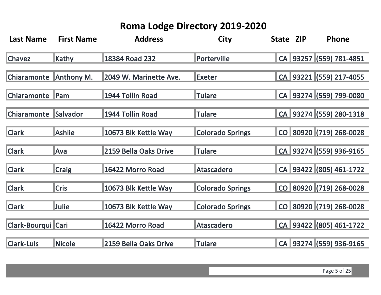| <b>Last Name</b>   | <b>First Name</b> | <b>Address</b>         | <b>City</b>             | State ZIP | <b>Phone</b>            |
|--------------------|-------------------|------------------------|-------------------------|-----------|-------------------------|
| <b>Chavez</b>      | Kathy             | 18384 Road 232         | Porterville             |           | CA 93257 (559) 781-4851 |
| <b>Chiaramonte</b> | Anthony M.        | 2049 W. Marinette Ave. | Exeter                  |           | CA 93221 (559) 217-4055 |
| <b>Chiaramonte</b> | Pam               | 1944 Tollin Road       | <b>Tulare</b>           |           | CA 93274 (559) 799-0080 |
| <b>Chiaramonte</b> | <b>Salvador</b>   | 1944 Tollin Road       | <b>Tulare</b>           |           | CA 93274 (559) 280-1318 |
| <b>Clark</b>       | <b>Ashlie</b>     | 10673 Blk Kettle Way   | <b>Colorado Springs</b> |           | CO 80920 (719) 268-0028 |
| <b>Clark</b>       | Ava               | 2159 Bella Oaks Drive  | <b>Tulare</b>           |           | CA 93274 (559) 936-9165 |
| <b>Clark</b>       | <b>Craig</b>      | 16422 Morro Road       | <b>Atascadero</b>       |           | CA 93422 (805) 461-1722 |
| <b>Clark</b>       | <b>Cris</b>       | 10673 Blk Kettle Way   | <b>Colorado Springs</b> |           | CO 80920 (719) 268-0028 |
| <b>Clark</b>       | <b>Julie</b>      | 10673 Blk Kettle Way   | <b>Colorado Springs</b> |           | CO 80920 (719) 268-0028 |
| Clark-Bourqui Cari |                   | 16422 Morro Road       | <b>Atascadero</b>       |           | CA 93422 (805) 461-1722 |
| <b>Clark-Luis</b>  | <b>Nicole</b>     | 2159 Bella Oaks Drive  | <b>Tulare</b>           |           | CA 93274 (559) 936-9165 |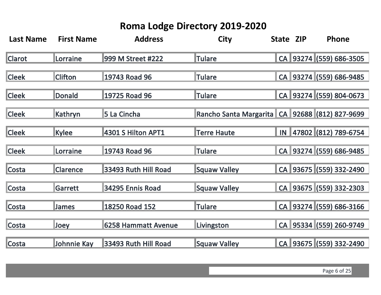| <b>Last Name</b> | <b>First Name</b> | <b>Address</b>           | <b>City</b>            | State ZIP | Phone                   |
|------------------|-------------------|--------------------------|------------------------|-----------|-------------------------|
| <b>Clarot</b>    | Lorraine          | <b>999 M Street #222</b> | <b>ITulare</b>         |           | CA 93274 (559) 686-3505 |
| <b>Cleek</b>     | <b>Clifton</b>    | 19743 Road 96            | <b>Tulare</b>          |           | CA 93274 (559) 686-9485 |
| <b>Cleek</b>     | Donald            | 19725 Road 96            | <b>Tulare</b>          |           | CA 93274 (559) 804-0673 |
| <b>Cleek</b>     | Kathryn           | 5 La Cincha              | Rancho Santa Margarita |           | CA 92688 (812) 827-9699 |
| <b>Cleek</b>     | <b>Kylee</b>      | 4301 S Hilton APT1       | <b>Terre Haute</b>     |           | IN 47802 (812) 789-6754 |
| <b>Cleek</b>     | Lorraine          | 19743 Road 96            | <b>Tulare</b>          |           | CA 93274 (559) 686-9485 |
| Costa            | <b>Clarence</b>   | 33493 Ruth Hill Road     | <b>Squaw Valley</b>    |           | CA 93675 (559) 332-2490 |
| Costa            | Garrett           | 34295 Ennis Road         | <b>Squaw Valley</b>    |           | CA 93675 (559) 332-2303 |
| Costa            | <b>James</b>      | 18250 Road 152           | <b>Tulare</b>          |           | CA 93274 (559) 686-3166 |
| Costa            | Joey              | 6258 Hammatt Avenue      | Livingston             |           | CA 95334 (559) 260-9749 |
| Costa            | Johnnie Kay       | 33493 Ruth Hill Road     | <b>Squaw Valley</b>    |           | CA 93675 (559) 332-2490 |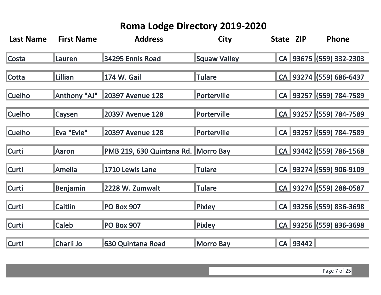| <b>Last Name</b> | <b>First Name</b> | <b>Address</b>                      | <b>City</b>         | State ZIP |          | Phone                   |
|------------------|-------------------|-------------------------------------|---------------------|-----------|----------|-------------------------|
| Costa            | Lauren            | 34295 Ennis Road                    | <b>Squaw Valley</b> |           |          | CA 93675 (559) 332-2303 |
| Cotta            | Lillian           | 174 W. Gail                         | <b>Tulare</b>       |           |          | CA 93274 (559) 686-6437 |
| <b>Cuelho</b>    | Anthony "AJ"      | <b>20397 Avenue 128</b>             | Porterville         |           |          | CA 93257 (559) 784-7589 |
| <b>Cuelho</b>    | <b>Caysen</b>     | <b>20397 Avenue 128</b>             | Porterville         |           |          | CA 93257 (559) 784-7589 |
| <b>Cuelho</b>    | Eva "Evie"        | <b>20397 Avenue 128</b>             | Porterville         |           |          | CA 93257 (559) 784-7589 |
| Curti            | Aaron             | PMB 219, 630 Quintana Rd. Morro Bay |                     |           |          | CA 93442 (559) 786-1568 |
| <b>Curti</b>     | <b>Amelia</b>     | 1710 Lewis Lane                     | <b>Tulare</b>       |           |          | CA 93274 (559) 906-9109 |
| <b>Curti</b>     | Benjamin          | 2228 W. Zumwalt                     | <b>Tulare</b>       |           |          | CA 93274 (559) 288-0587 |
| <b>Curti</b>     | <b>Caitlin</b>    | <b>PO Box 907</b>                   | <b>Pixley</b>       |           |          | CA 93256 (559) 836-3698 |
| <b>Curti</b>     | <b>Caleb</b>      | <b>PO Box 907</b>                   | Pixley              |           |          | CA 93256 (559) 836-3698 |
| Curti            | Charli Jo         | 630 Quintana Road                   | <b>Morro Bay</b>    |           | CA 93442 |                         |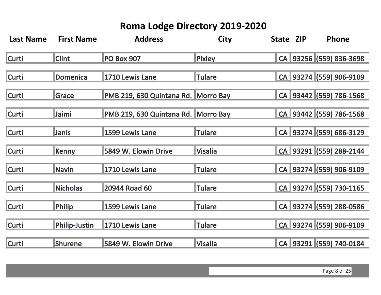| <b>Last Name</b> | <b>First Name</b>    | <b>Address</b>                      | <b>City</b>    | State ZIP | Phone                   |
|------------------|----------------------|-------------------------------------|----------------|-----------|-------------------------|
| Curti            | <b>Clint</b>         | <b>PO Box 907</b>                   | <b>Pixley</b>  |           | CA 93256 (559) 836-3698 |
| <b>Curti</b>     | Domenica             | 1710 Lewis Lane                     | <b>Tulare</b>  |           | CA 93274 (559) 906-9109 |
| <b>Curti</b>     | Grace                | PMB 219, 630 Quintana Rd. Morro Bay |                |           | CA 93442 (559) 786-1568 |
| <b>Curti</b>     | Jaimi                | PMB 219, 630 Quintana Rd. Morro Bay |                |           | CA 93442 (559) 786-1568 |
| <b>Curti</b>     | Janis                | 1599 Lewis Lane                     | <b>Tulare</b>  |           | CA 93274 (559) 686-3129 |
| <b>Curti</b>     | Kenny                | 5849 W. Elowin Drive                | <b>Visalia</b> |           | CA 93291 (559) 288-2144 |
| <b>Curti</b>     | Navin                | 1710 Lewis Lane                     | <b>Tulare</b>  |           | CA 93274 (559) 906-9109 |
| <b>Curti</b>     | <b>Nicholas</b>      | 20944 Road 60                       | <b>Tulare</b>  |           | CA 93274 (559) 730-1165 |
| <b>Curti</b>     | <b>Philip</b>        | 1599 Lewis Lane                     | <b>Tulare</b>  |           | CA 93274 (559) 288-0586 |
| <b>Curti</b>     | <b>Philip-Justin</b> | 1710 Lewis Lane                     | <b>Tulare</b>  |           | CA 93274 (559) 906-9109 |
| Curti            | Shurene              | 5849 W. Elowin Drive                | Visalia        |           | CA 93291 (559) 740-0184 |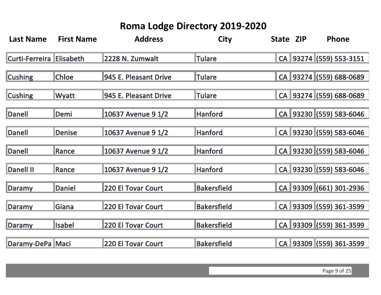| <b>Last Name</b>                | <b>First Name</b> | <b>Address</b>            | <b>City</b>        | State ZIP | Phone                   |
|---------------------------------|-------------------|---------------------------|--------------------|-----------|-------------------------|
| <b>Curti-Ferreira Elisabeth</b> |                   | 2228 N. Zumwalt           | Tulare             |           | CA 93274 (559) 553-3151 |
| <b>Cushing</b>                  | <b>Chloe</b>      | 945 E. Pleasant Drive     | Tulare             |           | CA 93274 (559) 688-0689 |
| <b>Cushing</b>                  | Wyatt             | 945 E. Pleasant Drive     | <b>Tulare</b>      |           | CA 93274 (559) 688-0689 |
| Danell                          | Demi              | 10637 Avenue 9 1/2        | <b>Hanford</b>     |           | CA 93230 (559) 583-6046 |
| Danell                          | Denise            | 10637 Avenue 9 1/2        | <b>Hanford</b>     |           | CA 93230 (559) 583-6046 |
| Danell                          | Rance             | 10637 Avenue 9 1/2        | <b>Hanford</b>     |           | CA 93230 (559) 583-6046 |
| Danell II                       | Rance             | 10637 Avenue 9 1/2        | <b>Hanford</b>     |           | CA 93230 (559) 583-6046 |
| Daramy                          | Daniel            | <b>220 El Tovar Court</b> | <b>Bakersfield</b> |           | CA 93309 (661) 301-2936 |
| Daramy                          | <b>Giana</b>      | <b>220 El Tovar Court</b> | <b>Bakersfield</b> |           | CA 93309 (559) 361-3599 |
| Daramy                          | <b>Isabel</b>     | <b>220 El Tovar Court</b> | <b>Bakersfield</b> |           | CA 93309 (559) 361-3599 |
| Daramy-DePa Maci                |                   | <b>220 El Tovar Court</b> | <b>Bakersfield</b> |           | CA 93309 (559) 361-3599 |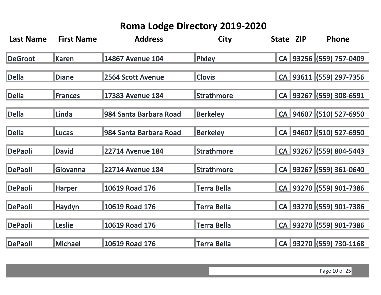| <b>Last Name</b> | <b>First Name</b> | <b>Address</b>          | <b>City</b>        | State ZIP | Phone                   |
|------------------|-------------------|-------------------------|--------------------|-----------|-------------------------|
| <b>DeGroot</b>   | <b>Karen</b>      | 14867 Avenue 104        | Pixley             |           | CA 93256 (559) 757-0409 |
| <b>Della</b>     | <b>Diane</b>      | 2564 Scott Avenue       | <b>Clovis</b>      |           | CA 93611 (559) 297-7356 |
| <b>Della</b>     | <b>Frances</b>    | 17383 Avenue 184        | <b>Strathmore</b>  |           | CA 93267 (559) 308-6591 |
| Della            | <b>Linda</b>      | 984 Santa Barbara Road  | <b>Berkeley</b>    |           | CA 94607 (510) 527-6950 |
| Della            | <b>ILucas</b>     | 984 Santa Barbara Road  | <b>Berkeley</b>    |           | CA 94607 (510) 527-6950 |
| DePaoli          | <b>David</b>      | <b>22714 Avenue 184</b> | <b>Strathmore</b>  |           | CA 93267 (559) 804-5443 |
| DePaoli          | <b>IGiovanna</b>  | <b>22714 Avenue 184</b> | <b>Strathmore</b>  |           | CA 93267 (559) 361-0640 |
| DePaoli          | <b>Harper</b>     | 10619 Road 176          | <b>Terra Bella</b> |           | CA 93270 (559) 901-7386 |
| DePaoli          | Haydyn            | 10619 Road 176          | Terra Bella        |           | CA 93270 (559) 901-7386 |
| DePaoli          | Leslie            | 10619 Road 176          | <b>Terra Bella</b> |           | CA 93270 (559) 901-7386 |
| <b>DePaoli</b>   | Michael           | 10619 Road 176          | Terra Bella        |           | CA 93270 (559) 730-1168 |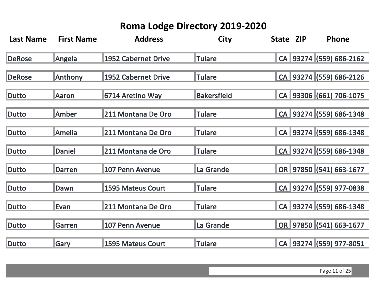| <b>Last Name</b> | <b>First Name</b> | <b>Address</b>           | <b>City</b>        | State ZIP | Phone                   |
|------------------|-------------------|--------------------------|--------------------|-----------|-------------------------|
| <b>DeRose</b>    | Angela            | 1952 Cabernet Drive      | <b>Tulare</b>      |           | CA 93274 (559) 686-2162 |
| <b>DeRose</b>    | Anthony           | 1952 Cabernet Drive      | <b>Tulare</b>      |           | CA 93274 (559) 686-2126 |
| Dutto            | Aaron             | 6714 Aretino Way         | <b>Bakersfield</b> |           | CA 93306 (661) 706-1075 |
| Dutto            | Amber             | 211 Montana De Oro       | <b>Tulare</b>      |           | CA 93274 (559) 686-1348 |
| Dutto            | Amelia            | 211 Montana De Oro       | <b>Tulare</b>      |           | CA 93274 (559) 686-1348 |
| <b>Dutto</b>     | Daniel            | 211 Montana de Oro       | <b>Tulare</b>      |           | CA 93274 (559) 686-1348 |
| <b>Dutto</b>     | Darren            | 107 Penn Avenue          | La Grande          |           | OR 97850 (541) 663-1677 |
| <b>Dutto</b>     | Dawn              | <b>1595 Mateus Court</b> | <b>Tulare</b>      |           | CA 93274 (559) 977-0838 |
| Dutto            | Evan              | 211 Montana De Oro       | <b>Tulare</b>      |           | CA 93274 (559) 686-1348 |
| Dutto            | Garren            | 107 Penn Avenue          | La Grande          |           | OR 97850 (541) 663-1677 |
| <b>Dutto</b>     | Gary              | <b>1595 Mateus Court</b> | <b>Tulare</b>      |           | CA 93274 (559) 977-8051 |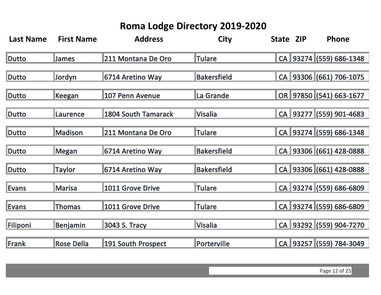| <b>Last Name</b> | <b>First Name</b> | <b>Address</b>             | <b>City</b>        | State ZIP | Phone                   |
|------------------|-------------------|----------------------------|--------------------|-----------|-------------------------|
| Dutto            | <b>James</b>      | 211 Montana De Oro         | <b>ITulare</b>     |           | CA 93274 (559) 686-1348 |
| <b>Dutto</b>     | Jordyn            | 6714 Aretino Way           | <b>Bakersfield</b> |           | CA 93306 (661) 706-1075 |
| Dutto            | Keegan            | <b>107 Penn Avenue</b>     | La Grande          |           | OR 97850 (541) 663-1677 |
| Dutto            | Laurence          | <b>1804 South Tamarack</b> | <b>Visalia</b>     |           | CA 93277 (559) 901-4683 |
| Dutto            | <b>Madison</b>    | 211 Montana De Oro         | <b>Tulare</b>      |           | CA 93274 (559) 686-1348 |
| Dutto            | Megan             | 6714 Aretino Way           | <b>Bakersfield</b> |           | CA 93306 (661) 428-0888 |
| <b>Dutto</b>     | <b>Taylor</b>     | 6714 Aretino Way           | <b>Bakersfield</b> |           | CA 93306 (661) 428-0888 |
| <b>Evans</b>     | <b>Marisa</b>     | 1011 Grove Drive           | <b>Tulare</b>      |           | CA 93274 (559) 686-6809 |
| Evans            | Thomas            | 1011 Grove Drive           | <b>Tulare</b>      |           | CA 93274 (559) 686-6809 |
| Filiponi         | Benjamin          | 3043 S. Tracy              | <b>Visalia</b>     |           | CA 93292 (559) 904-7270 |
| Frank            | <b>Rose Della</b> | <b>191 South Prospect</b>  | Porterville        |           | CA 93257 (559) 784-3049 |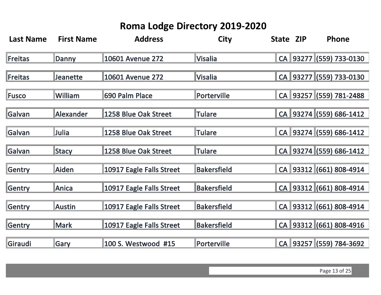| <b>Last Name</b> | <b>First Name</b> | <b>Address</b>           | <b>City</b>        | State ZIP | Phone                   |
|------------------|-------------------|--------------------------|--------------------|-----------|-------------------------|
| <b>Freitas</b>   | Danny             | 10601 Avenue 272         | <b>Visalia</b>     |           | CA 93277 (559) 733-0130 |
| Freitas          | <b>Jeanette</b>   | 10601 Avenue 272         | <b>Visalia</b>     |           | CA 93277 (559) 733-0130 |
| Fusco            | William           | 690 Palm Place           | Porterville        |           | CA 93257 (559) 781-2488 |
| <b>Galvan</b>    | Alexander         | 1258 Blue Oak Street     | <b>Tulare</b>      |           | CA 93274 (559) 686-1412 |
| Galvan           | Julia             | 1258 Blue Oak Street     | <b>Tulare</b>      |           | CA 93274 (559) 686-1412 |
| Galvan           | Stacy             | 1258 Blue Oak Street     | <b>Tulare</b>      |           | CA 93274 (559) 686-1412 |
| Gentry           | Aiden             | 10917 Eagle Falls Street | <b>Bakersfield</b> |           | CA 93312 (661) 808-4914 |
| <b>Gentry</b>    | Anica             | 10917 Eagle Falls Street | <b>Bakersfield</b> |           | CA 93312 (661) 808-4914 |
| Gentry           | <b>Austin</b>     | 10917 Eagle Falls Street | <b>Bakersfield</b> |           | CA 93312 (661) 808-4914 |
| <b>Gentry</b>    | <b>Mark</b>       | 10917 Eagle Falls Street | <b>Bakersfield</b> |           | CA 93312 (661) 808-4916 |
| Giraudi          | Gary              | 100 S. Westwood #15      | Porterville        |           | CA 93257 (559) 784-3692 |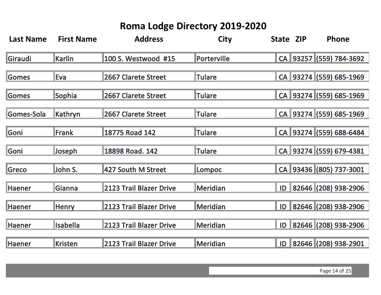| <b>Last Name</b> | <b>First Name</b> | <b>Address</b>          | <b>City</b>     | State ZIP | Phone                   |
|------------------|-------------------|-------------------------|-----------------|-----------|-------------------------|
| <b>Giraudi</b>   | Karlin            | 100 S. Westwood #15     | Porterville     |           | CA 93257 (559) 784-3692 |
| Gomes            | Eva               | 2667 Clarete Street     | <b>Tulare</b>   |           | CA 93274 (559) 685-1969 |
| Gomes            | <b>Sophia</b>     | 2667 Clarete Street     | Tulare          |           | CA 93274 (559) 685-1969 |
| Gomes-Sola       | Kathryn           | 2667 Clarete Street     | <b>Tulare</b>   |           | CA 93274 (559) 685-1969 |
| <b>Goni</b>      | <b>Frank</b>      | 18775 Road 142          | Tulare          |           | CA 93274 (559) 688-6484 |
| Goni             | Joseph            | 18898 Road. 142         | <b>Tulare</b>   |           | CA 93274 (559) 679-4381 |
| Greco            | John S.           | 427 South M Street      | Lompoc          |           | CA 93436 (805) 737-3001 |
| <b>Haener</b>    | Gianna            | 2123 Trail Blazer Drive | <b>Meridian</b> | ID        | 82646 (208) 938-2906    |
| Haener           | <b>Henry</b>      | 2123 Trail Blazer Drive | Meridian        |           | ID 82646 (208) 938-2906 |
| <b>Haener</b>    | <b>Isabella</b>   | 2123 Trail Blazer Drive | <b>Meridian</b> | ID        | 82646 (208) 938-2906    |
| Haener           | Kristen           | 2123 Trail Blazer Drive | <b>Meridian</b> |           | ID 82646 (208) 938-2901 |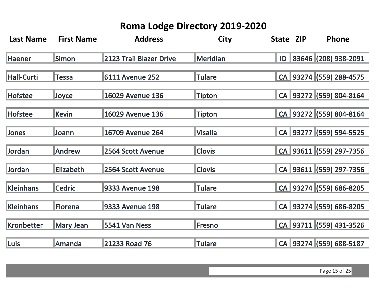| <b>Last Name</b>  | <b>First Name</b> | <b>Address</b>          | <b>City</b>     | State ZIP | Phone                   |
|-------------------|-------------------|-------------------------|-----------------|-----------|-------------------------|
| <b>Haener</b>     | <b>Simon</b>      | 2123 Trail Blazer Drive | <b>Meridian</b> |           | ID 83646 (208) 938-2091 |
| Hall-Curti        | <b>Tessa</b>      | <b>6111 Avenue 252</b>  | <b>Tulare</b>   |           | CA 93274 (559) 288-4575 |
| <b>Hofstee</b>    | <b>Joyce</b>      | 16029 Avenue 136        | <b>Tipton</b>   |           | CA 93272 (559) 804-8164 |
| Hofstee           | Kevin             | 16029 Avenue 136        | <b>Tipton</b>   |           | CA 93272 (559) 804-8164 |
| <b>Jones</b>      | <b>Joann</b>      | 16709 Avenue 264        | <b>Visalia</b>  |           | CA 93277 (559) 594-5525 |
| Jordan            | Andrew            | 2564 Scott Avenue       | <b>Clovis</b>   |           | CA 93611 (559) 297-7356 |
| Jordan            | <b>Elizabeth</b>  | 2564 Scott Avenue       | <b>Clovis</b>   |           | CA 93611 (559) 297-7356 |
| <b>Kleinhans</b>  | <b>Cedric</b>     | <b>9333 Avenue 198</b>  | <b>Tulare</b>   |           | CA 93274 (559) 686-8205 |
| <b>Kleinhans</b>  | Florena           | <b>9333 Avenue 198</b>  | <b>Tulare</b>   |           | CA 93274 (559) 686-8205 |
| <b>Kronbetter</b> | Mary Jean         | 5541 Van Ness           | <b>Fresno</b>   |           | CA 93711 (559) 431-3526 |
| <b>Luis</b>       | Amanda            | 21233 Road 76           | <b>Tulare</b>   |           | CA 93274 (559) 688-5187 |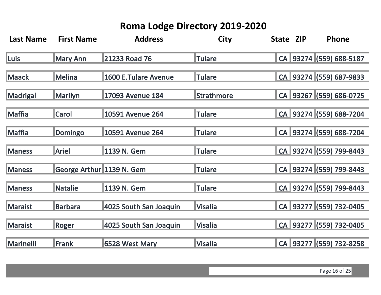| <b>Last Name</b> | <b>First Name</b>         | <b>Address</b>              | <b>City</b>    |  | State ZIP | Phone                   |
|------------------|---------------------------|-----------------------------|----------------|--|-----------|-------------------------|
| Luis             | <b>Mary Ann</b>           | 21233 Road 76               | <b>Tulare</b>  |  |           | CA 93274 (559) 688-5187 |
| <b>Maack</b>     | Melina                    | <b>1600 E.Tulare Avenue</b> | <b>Tulare</b>  |  |           | CA 93274 (559) 687-9833 |
| Madrigal         | Marilyn                   | 17093 Avenue 184            | Strathmore     |  |           | CA 93267 (559) 686-0725 |
| Maffia           | <b>Carol</b>              | 10591 Avenue 264            | <b>Tulare</b>  |  |           | CA 93274 (559) 688-7204 |
| Maffia           | Domingo                   | 10591 Avenue 264            | <b>Tulare</b>  |  |           | CA 93274 (559) 688-7204 |
| <b>Maness</b>    | <b>Ariel</b>              | 1139 N. Gem                 | <b>Tulare</b>  |  |           | CA 93274 (559) 799-8443 |
| <b>Maness</b>    | George Arthur 1139 N. Gem |                             | <b>Tulare</b>  |  |           | CA 93274 (559) 799-8443 |
| <b>Maness</b>    | Natalie                   | 1139 N. Gem                 | <b>Tulare</b>  |  |           | CA 93274 (559) 799-8443 |
| <b>Maraist</b>   | Barbara                   | 4025 South San Joaquin      | <b>Visalia</b> |  |           | CA 93277 (559) 732-0405 |
| <b>Maraist</b>   | Roger                     | 4025 South San Joaquin      | <b>Visalia</b> |  |           | CA 93277 (559) 732-0405 |
| Marinelli        | Frank                     | 6528 West Mary              | <b>Visalia</b> |  |           | CA 93277 (559) 732-8258 |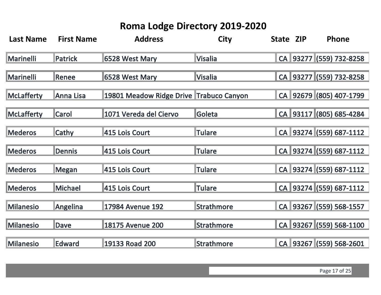| <b>Last Name</b>  | <b>First Name</b> | <b>Address</b>                          | <b>City</b>       | State ZIP | Phone                   |
|-------------------|-------------------|-----------------------------------------|-------------------|-----------|-------------------------|
| <b>Marinelli</b>  | <b>Patrick</b>    | 6528 West Mary                          | <b>Visalia</b>    |           | CA 93277 (559) 732-8258 |
| <b>Marinelli</b>  | Renee             | 6528 West Mary                          | <b>Visalia</b>    |           | CA 93277 (559) 732-8258 |
| <b>McLafferty</b> | Anna Lisa         | 19801 Meadow Ridge Drive Trabuco Canyon |                   |           | CA 92679 (805) 407-1799 |
| <b>McLafferty</b> | <b>Carol</b>      | 1071 Vereda del Ciervo                  | Goleta            |           | CA 93117 (805) 685-4284 |
| <b>Mederos</b>    | Cathy             | 415 Lois Court                          | <b>Tulare</b>     |           | CA 93274 (559) 687-1112 |
| <b>Mederos</b>    | <b>Dennis</b>     | 415 Lois Court                          | <b>Tulare</b>     |           | CA 93274 (559) 687-1112 |
| <b>Mederos</b>    | <b>Megan</b>      | 415 Lois Court                          | <b>Tulare</b>     |           | CA 93274 (559) 687-1112 |
| <b>Mederos</b>    | <b>Michael</b>    | 415 Lois Court                          | <b>Tulare</b>     |           | CA 93274 (559) 687-1112 |
| <b>Milanesio</b>  | <b>Angelina</b>   | 17984 Avenue 192                        | <b>Strathmore</b> |           | CA 93267 (559) 568-1557 |
| <b>Milanesio</b>  | <b>Dave</b>       | <b>18175 Avenue 200</b>                 | <b>Strathmore</b> |           | CA 93267 (559) 568-1100 |
| <b>Milanesio</b>  | <b>Edward</b>     | 19133 Road 200                          | <b>Strathmore</b> |           | CA 93267 (559) 568-2601 |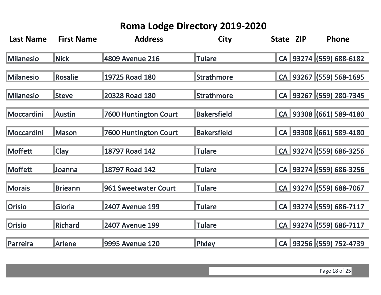| <b>Last Name</b> | <b>First Name</b> | <b>Address</b>               | <b>City</b>        | State ZIP | <b>Phone</b>            |
|------------------|-------------------|------------------------------|--------------------|-----------|-------------------------|
| <b>Milanesio</b> | <b>Nick</b>       | 4809 Avenue 216              | Tulare             |           | CA 93274 (559) 688-6182 |
| <b>Milanesio</b> | <b>Rosalie</b>    | 19725 Road 180               | <b>Strathmore</b>  |           | CA 93267 (559) 568-1695 |
| <b>Milanesio</b> | Steve             | 20328 Road 180               | <b>Strathmore</b>  |           | CA 93267 (559) 280-7345 |
| Moccardini       | <b>Austin</b>     | <b>7600 Huntington Court</b> | <b>Bakersfield</b> |           | CA 93308 (661) 589-4180 |
| Moccardini       | <b>Mason</b>      | <b>7600 Huntington Court</b> | <b>Bakersfield</b> |           | CA 93308 (661) 589-4180 |
| <b>Moffett</b>   | Clay              | 18797 Road 142               | <b>Tulare</b>      |           | CA 93274 (559) 686-3256 |
| Moffett          | Joanna            | 18797 Road 142               | <b>Tulare</b>      |           | CA 93274 (559) 686-3256 |
| <b>Morais</b>    | <b>Brieann</b>    | 961 Sweetwater Court         | <b>Tulare</b>      |           | CA 93274 (559) 688-7067 |
| <b>Orisio</b>    | Gloria            | <b>2407 Avenue 199</b>       | <b>Tulare</b>      |           | CA 93274 (559) 686-7117 |
| <b>Orisio</b>    | <b>Richard</b>    | <b>2407 Avenue 199</b>       | <b>Tulare</b>      |           | CA 93274 (559) 686-7117 |
| Parreira         | Arlene            | 9995 Avenue 120              | <b>Pixley</b>      |           | CA 93256 (559) 752-4739 |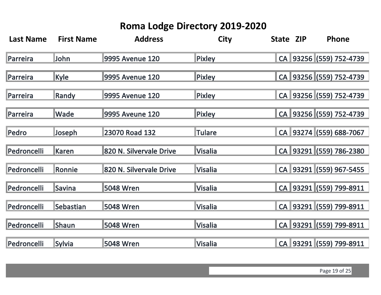| <b>Last Name</b> | <b>First Name</b> | <b>Address</b>          | <b>City</b>    | State ZIP | Phone                   |
|------------------|-------------------|-------------------------|----------------|-----------|-------------------------|
| Parreira         | <b>John</b>       | 9995 Avenue 120         | <b>Pixley</b>  |           | CA 93256 (559) 752-4739 |
| Parreira         | Kyle              | 9995 Avenue 120         | <b>Pixley</b>  |           | CA 93256 (559) 752-4739 |
| Parreira         | Randy             | 9995 Avenue 120         | <b>Pixley</b>  |           | CA 93256 (559) 752-4739 |
| Parreira         | Wade              | 9995 Aveune 120         | <b>Pixley</b>  |           | CA 93256 (559) 752-4739 |
| Pedro            | Joseph            | 23070 Road 132          | <b>Tulare</b>  |           | CA 93274 (559) 688-7067 |
| Pedroncelli      | Karen             | 820 N. Silvervale Drive | <b>Visalia</b> |           | CA 93291 (559) 786-2380 |
| Pedroncelli      | Ronnie            | 820 N. Silvervale Drive | <b>Visalia</b> |           | CA 93291 (559) 967-5455 |
| Pedroncelli      | Savina            | 5048 Wren               | <b>Visalia</b> |           | CA 93291 (559) 799-8911 |
| Pedroncelli      | Sebastian         | 5048 Wren               | <b>Visalia</b> |           | CA 93291 (559) 799-8911 |
| Pedroncelli      | <b>Shaun</b>      | 5048 Wren               | <b>Visalia</b> |           | CA 93291 (559) 799-8911 |
| Pedroncelli      | <b>Sylvia</b>     | 5048 Wren               | <b>Visalia</b> |           | CA 93291 (559) 799-8911 |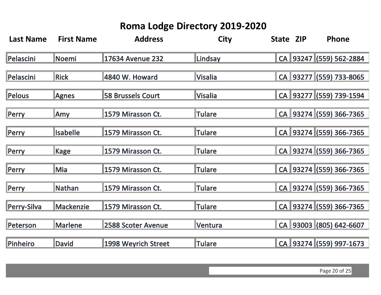| <b>Last Name</b> | <b>First Name</b> | <b>Address</b>           | <b>City</b>     | State ZIP | Phone                   |
|------------------|-------------------|--------------------------|-----------------|-----------|-------------------------|
| Pelascini        | <b>Noemi</b>      | 17634 Avenue 232         | Lindsay         |           | CA 93247 (559) 562-2884 |
| Pelascini        | <b>Rick</b>       | 4840 W. Howard           | <b>Visalia</b>  |           | CA 93277 (559) 733-8065 |
| Pelous           | Agnes             | <b>58 Brussels Court</b> | <b>lVisalia</b> |           | CA 93277 (559) 739-1594 |
| Perry            | <b>Amy</b>        | 1579 Mirasson Ct.        | <b>Tulare</b>   |           | CA 93274 (559) 366-7365 |
| Perry            | <b>Isabelle</b>   | 1579 Mirasson Ct.        | <b>Tulare</b>   |           | CA 93274 (559) 366-7365 |
| Perry            | Kage              | 1579 Mirasson Ct.        | <b>Tulare</b>   |           | CA 93274 (559) 366-7365 |
| Perry            | <b>Mia</b>        | 1579 Mirasson Ct.        | <b>Tulare</b>   |           | CA 93274 (559) 366-7365 |
| Perry            | Nathan            | 1579 Mirasson Ct.        | <b>Tulare</b>   |           | CA 93274 (559) 366-7365 |
| Perry-Silva      | <b>Mackenzie</b>  | 1579 Mirasson Ct.        | <b>Tulare</b>   |           | CA 93274 (559) 366-7365 |
| Peterson         | <b>Marlene</b>    | 2588 Scoter Avenue       | Ventura         |           | CA 93003 (805) 642-6607 |
| Pinheiro         | David             | 1998 Weyrich Street      | <b>Tulare</b>   |           | CA 93274 (559) 997-1673 |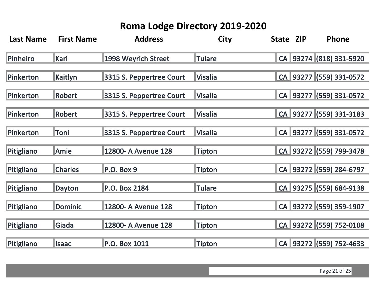| <b>Last Name</b> | <b>First Name</b> | <b>Address</b>           | <b>City</b>   | State ZIP | Phone                   |
|------------------|-------------------|--------------------------|---------------|-----------|-------------------------|
| Pinheiro         | Kari              | 1998 Weyrich Street      | <b>Tulare</b> |           | CA 93274 (818) 331-5920 |
| Pinkerton        | Kaitlyn           | 3315 S. Peppertree Court | Visalia       |           | CA 93277 (559) 331-0572 |
| Pinkerton        | Robert            | 3315 S. Peppertree Court | Visalia       |           | CA 93277 (559) 331-0572 |
| Pinkerton        | Robert            | 3315 S. Peppertree Court | Visalia       |           | CA 93277 (559) 331-3183 |
| Pinkerton        | Toni              | 3315 S. Peppertree Court | Visalia       |           | CA 93277 (559) 331-0572 |
| Pitigliano       | Amie              | 12800- A Avenue 128      | <b>Tipton</b> |           | CA 93272 (559) 799-3478 |
| Pitigliano       | <b>Charles</b>    | $P.O.$ Box 9             | Tipton        |           | CA 93272 (559) 284-6797 |
| Pitigliano       | <b>Dayton</b>     | P.O. Box 2184            | <b>Tulare</b> |           | CA 93275 (559) 684-9138 |
| Pitigliano       | <b>Dominic</b>    | 12800- A Avenue 128      | Tipton        |           | CA 93272 (559) 359-1907 |
| Pitigliano       | Giada             | 12800- A Avenue 128      | Tipton        |           | CA 93272 (559) 752-0108 |
| Pitigliano       | <b>Isaac</b>      | P.O. Box 1011            | <b>Tipton</b> |           | CA 93272 (559) 752-4633 |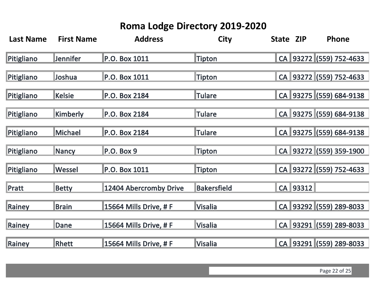| <b>Last Name</b> | <b>First Name</b> | <b>Address</b>         | <b>City</b>        | State ZIP | Phone                   |
|------------------|-------------------|------------------------|--------------------|-----------|-------------------------|
| Pitigliano       | <b>Jennifer</b>   | P.O. Box 1011          | <b>Tipton</b>      |           | CA 93272 (559) 752-4633 |
| Pitigliano       | <b>Joshua</b>     | P.O. Box 1011          | <b>Tipton</b>      |           | CA 93272 (559) 752-4633 |
| Pitigliano       | <b>Kelsie</b>     | P.O. Box 2184          | <b>Tulare</b>      |           | CA 93275 (559) 684-9138 |
| Pitigliano       | Kimberly          | P.O. Box 2184          | <b>Tulare</b>      |           | CA 93275 (559) 684-9138 |
| Pitigliano       | Michael           | P.O. Box 2184          | <b>Tulare</b>      |           | CA 93275 (559) 684-9138 |
| Pitigliano       | Nancy             | P.O. Box 9             | <b>Tipton</b>      |           | CA 93272 (559) 359-1900 |
| Pitigliano       | Wessel            | P.O. Box 1011          | <b>Tipton</b>      |           | CA 93272 (559) 752-4633 |
| <b>Pratt</b>     | <b>Betty</b>      | 12404 Abercromby Drive | <b>Bakersfield</b> | CA 93312  |                         |
| Rainey           | <b>Brain</b>      | 15664 Mills Drive, # F | <b>Visalia</b>     |           | CA 93292 (559) 289-8033 |
| Rainey           | Dane              | 15664 Mills Drive, # F | <b>Visalia</b>     |           | CA 93291 (559) 289-8033 |
| Rainey           | Rhett             | 15664 Mills Drive, # F | <b>Visalia</b>     |           | CA 93291 (559) 289-8033 |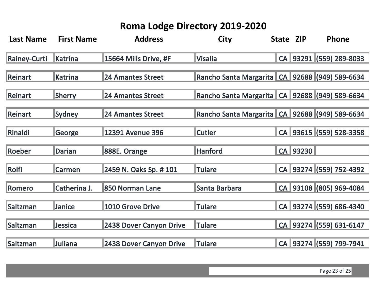| <b>Last Name</b>    | <b>First Name</b> | <b>Address</b>           | <b>City</b>                                        | State ZIP | Phone                   |
|---------------------|-------------------|--------------------------|----------------------------------------------------|-----------|-------------------------|
| <b>Rainey-Curti</b> | Katrina           | 15664 Mills Drive, #F    | <b>Visalia</b>                                     |           | CA 93291 (559) 289-8033 |
| <b>Reinart</b>      | <b>Katrina</b>    | <b>24 Amantes Street</b> | Rancho Santa Margarita   CA   92688 (949) 589-6634 |           |                         |
| <b>Reinart</b>      | <b>Sherry</b>     | <b>24 Amantes Street</b> | Rancho Santa Margarita   CA   92688 (949) 589-6634 |           |                         |
| Reinart             | <b>Sydney</b>     | <b>24 Amantes Street</b> | Rancho Santa Margarita   CA   92688 (949) 589-6634 |           |                         |
| Rinaldi             | George            | 12391 Avenue 396         | <b>Cutler</b>                                      |           | CA 93615 (559) 528-3358 |
| Roeber              | Darian            | 888E. Orange             | <b>Hanford</b>                                     | CA 93230  |                         |
| Rolfi               | Carmen            | 2459 N. Oaks Sp. # 101   | <b>Tulare</b>                                      |           | CA 93274 (559) 752-4392 |
| Romero              | Catherina J.      | 850 Norman Lane          | Santa Barbara                                      |           | CA 93108 (805) 969-4084 |
| Saltzman            | Janice            | 1010 Grove Drive         | <b>Tulare</b>                                      |           | CA 93274 (559) 686-4340 |
| Saltzman            | Jessica           | 2438 Dover Canyon Drive  | <b>Tulare</b>                                      |           | CA 93274 (559) 631-6147 |
| Saltzman            | Juliana           | 2438 Dover Canyon Drive  | <b>Tulare</b>                                      |           | CA 93274 (559) 799-7941 |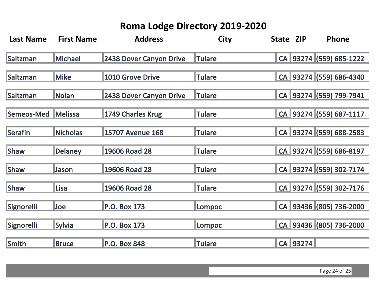| <b>Last Name</b>  | <b>First Name</b> | <b>Address</b>          | <b>City</b>   | State ZIP |          | Phone                   |
|-------------------|-------------------|-------------------------|---------------|-----------|----------|-------------------------|
| Saltzman          | <b>Michael</b>    | 2438 Dover Canyon Drive | <b>Tulare</b> |           |          | CA 93274 (559) 685-1222 |
| Saltzman          | <b>Mike</b>       | 1010 Grove Drive        | Tulare        |           |          | CA 93274 (559) 686-4340 |
| Saltzman          | Nolan             | 2438 Dover Canyon Drive | <b>Tulare</b> |           |          | CA 93274 (559) 799-7941 |
| Semeos-Med        | <b>Melissa</b>    | 1749 Charles Krug       | <b>Tulare</b> |           |          | CA 93274 (559) 687-1117 |
| Serafin           | Nicholas          | <b>15707 Avenue 168</b> | <b>Tulare</b> |           |          | CA 93274 (559) 688-2583 |
| <b>Shaw</b>       | <b>Delaney</b>    | 19606 Road 28           | <b>Tulare</b> |           |          | CA 93274 (559) 686-8197 |
| <b>Shaw</b>       | <b>Jason</b>      | 19606 Road 28           | <b>Tulare</b> |           |          | CA 93274 (559) 302-7174 |
| <b>Shaw</b>       | Lisa              | 19606 Road 28           | <b>Tulare</b> |           |          | CA 93274 (559) 302-7176 |
| Signorelli        | <b>Joe</b>        | P.O. Box 173            | Lompoc        |           |          | CA 93436 (805) 736-2000 |
| <b>Signorelli</b> | <b>Sylvia</b>     | P.O. Box 173            | Lompoc        |           |          | CA 93436 (805) 736-2000 |
| Smith             | <b>Bruce</b>      | P.O. Box 848            | <b>Tulare</b> |           | CA 93274 |                         |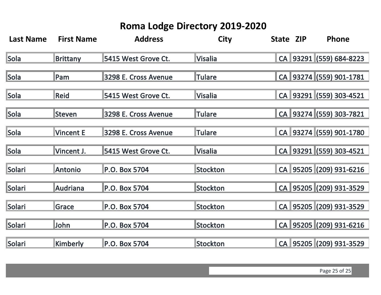| <b>Last Name</b> | <b>First Name</b> | <b>Address</b>       | <b>City</b>     | State ZIP | Phone                   |
|------------------|-------------------|----------------------|-----------------|-----------|-------------------------|
| Sola             | <b>Brittany</b>   | 5415 West Grove Ct.  | <b>Visalia</b>  |           | CA 93291 (559) 684-8223 |
| Sola             | Pam               | 3298 E. Cross Avenue | <b>ITulare</b>  |           | CA 93274 (559) 901-1781 |
| Sola             | Reid              | 5415 West Grove Ct.  | <b>Visalia</b>  |           | CA 93291 (559) 303-4521 |
| Sola             | Steven            | 3298 E. Cross Avenue | <b>Tulare</b>   |           | CA 93274 (559) 303-7821 |
| Sola             | <b>Vincent E</b>  | 3298 E. Cross Avenue | <b>Tulare</b>   |           | CA 93274 (559) 901-1780 |
| Sola             | Vincent J.        | 5415 West Grove Ct.  | <b>Visalia</b>  |           | CA 93291 (559) 303-4521 |
| Solari           | <b>Antonio</b>    | P.O. Box 5704        | Stockton        |           | CA 95205 (209) 931-6216 |
| Solari           | <b>Audriana</b>   | P.O. Box 5704        | Stockton        |           | CA 95205 (209) 931-3529 |
| Solari           | Grace             | P.O. Box 5704        | <b>Stockton</b> |           | CA 95205 (209) 931-3529 |
| Solari           | John              | P.O. Box 5704        | <b>Stockton</b> |           | CA 95205 (209) 931-6216 |
| Solari           | Kimberly          | P.O. Box 5704        | Stockton        |           | CA 95205 (209) 931-3529 |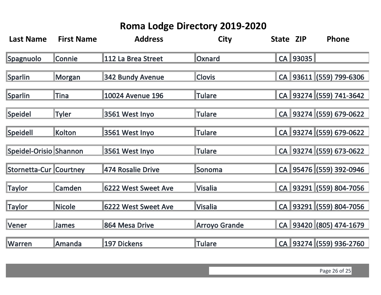| <b>Last Name</b>              | <b>First Name</b> | <b>Address</b>             | <b>City</b>          | State ZIP |          | Phone                   |
|-------------------------------|-------------------|----------------------------|----------------------|-----------|----------|-------------------------|
| Spagnuolo                     | Connie            | 112 La Brea Street         | Oxnard               |           | CA 93035 |                         |
| Sparlin                       | <b>Morgan</b>     | 342 Bundy Avenue           | <b>Clovis</b>        |           |          | CA 93611 (559) 799-6306 |
| Sparlin                       | Tina              | <b>10024 Avenue 196</b>    | <b>Tulare</b>        |           |          | CA 93274 (559) 741-3642 |
| Speidel                       | Tyler             | 3561 West Inyo             | <b>Tulare</b>        |           |          | CA 93274 (559) 679-0622 |
| Speidell                      | Kolton            | 3561 West Inyo             | <b>Tulare</b>        |           |          | CA 93274 (559) 679-0622 |
| Speidel-Orisio Shannon        |                   | 3561 West Inyo             | <b>Tulare</b>        |           |          | CA 93274 (559) 673-0622 |
| <b>Stornetta-Cur Courtney</b> |                   | 474 Rosalie Drive          | Sonoma               |           |          | CA 95476 (559) 392-0946 |
| <b>Taylor</b>                 | Camden            | <b>6222 West Sweet Ave</b> | <b>Visalia</b>       |           |          | CA 93291 (559) 804-7056 |
| <b>Taylor</b>                 | Nicole            | <b>6222 West Sweet Ave</b> | <b>Visalia</b>       |           |          | CA 93291 (559) 804-7056 |
| Vener                         | <b>James</b>      | 864 Mesa Drive             | <b>Arroyo Grande</b> |           |          | CA 93420 (805) 474-1679 |
| <b>Warren</b>                 | Amanda            | 197 Dickens                | <b>Tulare</b>        |           |          | CA 93274 (559) 936-2760 |